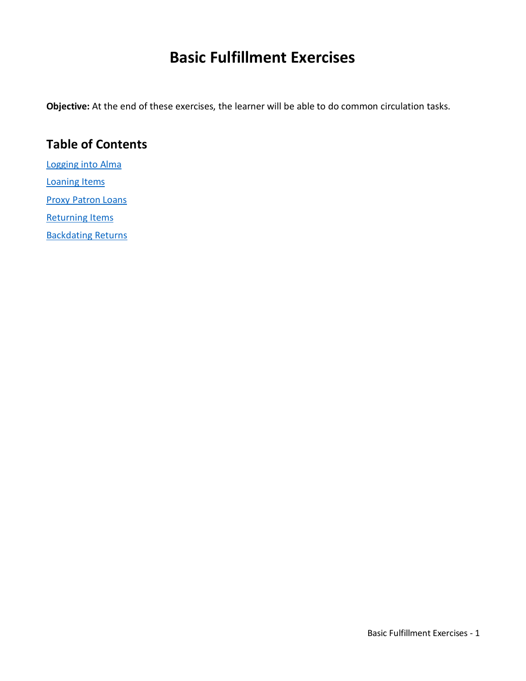# **Basic Fulfillment Exercises**

**Objective:** At the end of these exercises, the learner will be able to do common circulation tasks.

#### **Table of Contents**

[Logging into Alma](#page-1-0) [Loaning Items](#page-2-0)

**[Proxy Patron Loans](#page-3-0)** 

[Returning Items](#page-4-0)

[Backdating Returns](#page-5-0)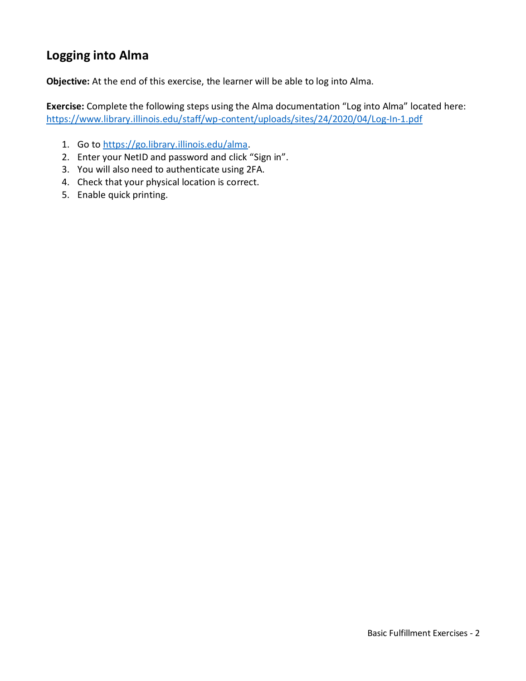# <span id="page-1-0"></span>**Logging into Alma**

**Objective:** At the end of this exercise, the learner will be able to log into Alma.

**Exercise:** Complete the following steps using the Alma documentation "Log into Alma" located here: <https://www.library.illinois.edu/staff/wp-content/uploads/sites/24/2020/04/Log-In-1.pdf>

- 1. Go t[o https://go.library.illinois.edu/alma.](https://go.library.illinois.edu/alma)
- 2. Enter your NetID and password and click "Sign in".
- 3. You will also need to authenticate using 2FA.
- 4. Check that your physical location is correct.
- 5. Enable quick printing.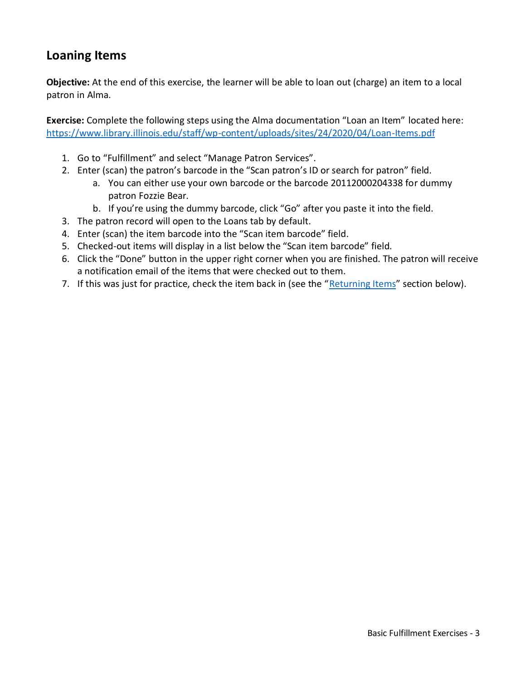## <span id="page-2-0"></span>**Loaning Items**

**Objective:** At the end of this exercise, the learner will be able to loan out (charge) an item to a local patron in Alma.

**Exercise:** Complete the following steps using the Alma documentation "Loan an Item" located here: <https://www.library.illinois.edu/staff/wp-content/uploads/sites/24/2020/04/Loan-Items.pdf>

- 1. Go to "Fulfillment" and select "Manage Patron Services".
- 2. Enter (scan) the patron's barcode in the "Scan patron's ID or search for patron" field.
	- a. You can either use your own barcode or the barcode 20112000204338 for dummy patron Fozzie Bear.
	- b. If you're using the dummy barcode, click "Go" after you paste it into the field.
- 3. The patron record will open to the Loans tab by default.
- 4. Enter (scan) the item barcode into the "Scan item barcode" field.
- 5. Checked-out items will display in a list below the "Scan item barcode" field.
- 6. Click the "Done" button in the upper right corner when you are finished. The patron will receive a notification email of the items that were checked out to them.
- 7. If this was just for practice, check the item back in (see the "[Returning Items](#page-4-0)" section below).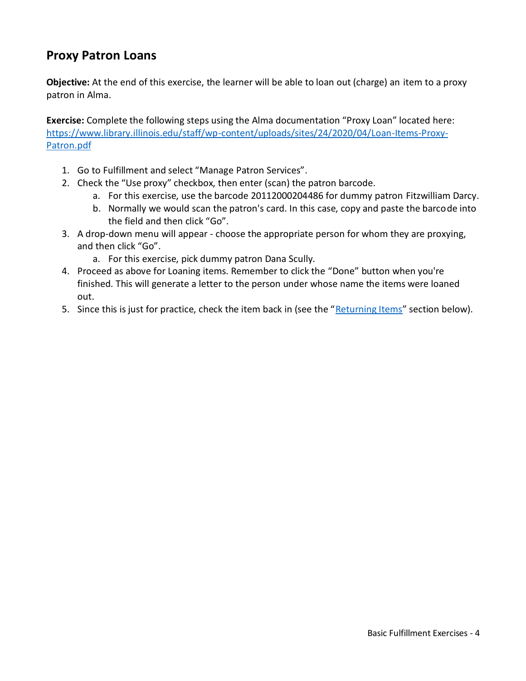## <span id="page-3-0"></span>**Proxy Patron Loans**

**Objective:** At the end of this exercise, the learner will be able to loan out (charge) an item to a proxy patron in Alma.

**Exercise:** Complete the following steps using the Alma documentation "Proxy Loan" located here: [https://www.library.illinois.edu/staff/wp-content/uploads/sites/24/2020/04/Loan-Items-Proxy-](https://www.library.illinois.edu/staff/wp-content/uploads/sites/24/2020/04/Loan-Items-Proxy-Patron.pdf)[Patron.pdf](https://www.library.illinois.edu/staff/wp-content/uploads/sites/24/2020/04/Loan-Items-Proxy-Patron.pdf)

- 1. Go to Fulfillment and select "Manage Patron Services".
- 2. Check the "Use proxy" checkbox, then enter (scan) the patron barcode.
	- a. For this exercise, use the barcode 20112000204486 for dummy patron Fitzwilliam Darcy.
	- b. Normally we would scan the patron's card. In this case, copy and paste the barcode into the field and then click "Go".
- 3. A drop-down menu will appear choose the appropriate person for whom they are proxying, and then click "Go".
	- a. For this exercise, pick dummy patron Dana Scully.
- 4. Proceed as above for Loaning items. Remember to click the "Done" button when you're finished. This will generate a letter to the person under whose name the items were loaned out.
- 5. Since this is just for practice, check the item back in (see the "[Returning Items](#page-4-0)" section below).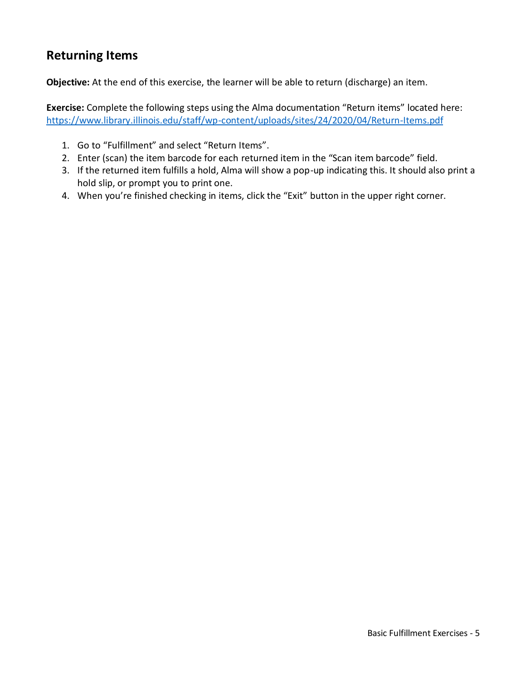#### <span id="page-4-0"></span>**Returning Items**

**Objective:** At the end of this exercise, the learner will be able to return (discharge) an item.

**Exercise:** Complete the following steps using the Alma documentation "Return items" located here: <https://www.library.illinois.edu/staff/wp-content/uploads/sites/24/2020/04/Return-Items.pdf>

- 1. Go to "Fulfillment" and select "Return Items".
- 2. Enter (scan) the item barcode for each returned item in the "Scan item barcode" field.
- 3. If the returned item fulfills a hold, Alma will show a pop-up indicating this. It should also print a hold slip, or prompt you to print one.
- 4. When you're finished checking in items, click the "Exit" button in the upper right corner.